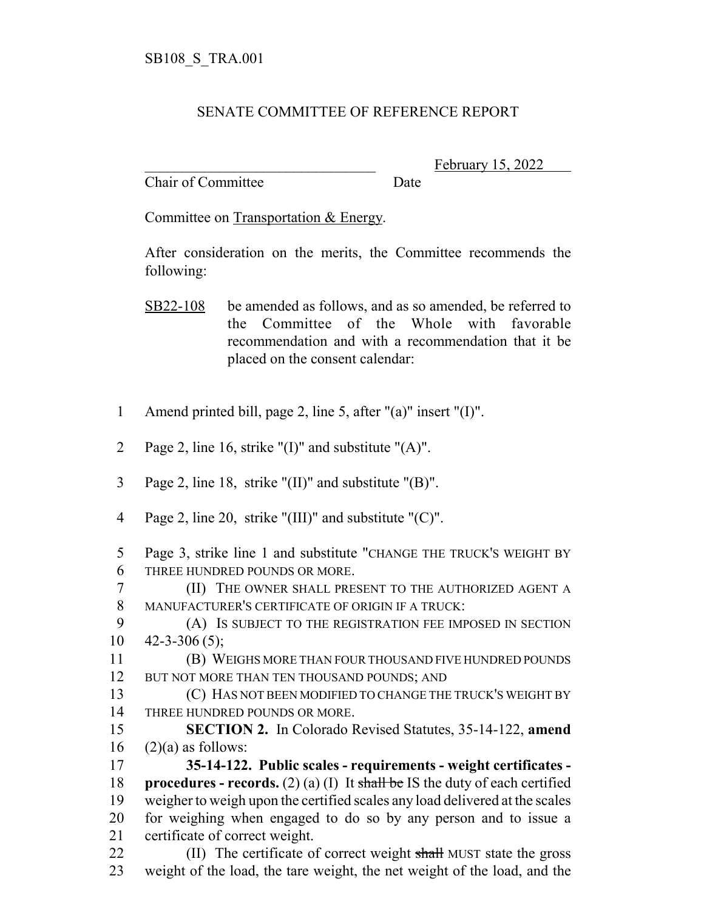## SENATE COMMITTEE OF REFERENCE REPORT

Chair of Committee Date

February 15, 2022

Committee on Transportation & Energy.

After consideration on the merits, the Committee recommends the following:

- SB22-108 be amended as follows, and as so amended, be referred to the Committee of the Whole with favorable recommendation and with a recommendation that it be placed on the consent calendar:
- 1 Amend printed bill, page 2, line 5, after "(a)" insert "(I)".
- 2 Page 2, line 16, strike " $(I)$ " and substitute " $(A)$ ".
- 3 Page 2, line 18, strike "(II)" and substitute "(B)".
- 4 Page 2, line 20, strike "(III)" and substitute "(C)".
- 5 Page 3, strike line 1 and substitute "CHANGE THE TRUCK'S WEIGHT BY 6 THREE HUNDRED POUNDS OR MORE.
- 7 (II) THE OWNER SHALL PRESENT TO THE AUTHORIZED AGENT A 8 MANUFACTURER'S CERTIFICATE OF ORIGIN IF A TRUCK:
- 9 (A) IS SUBJECT TO THE REGISTRATION FEE IMPOSED IN SECTION  $10 \quad 42 - 3 - 306 \,(5);$

11 (B) WEIGHS MORE THAN FOUR THOUSAND FIVE HUNDRED POUNDS 12 BUT NOT MORE THAN TEN THOUSAND POUNDS; AND

- 13 (C) HAS NOT BEEN MODIFIED TO CHANGE THE TRUCK'S WEIGHT BY 14 THREE HUNDRED POUNDS OR MORE.
- 15 **SECTION 2.** In Colorado Revised Statutes, 35-14-122, **amend**  $16$  (2)(a) as follows:
- 17 **35-14-122. Public scales requirements weight certificates -** 18 **procedures - records.** (2) (a) (I) It shall be IS the duty of each certified 19 weigher to weigh upon the certified scales any load delivered at the scales 20 for weighing when engaged to do so by any person and to issue a 21 certificate of correct weight.
- 22 (II) The certificate of correct weight shall MUST state the gross 23 weight of the load, the tare weight, the net weight of the load, and the